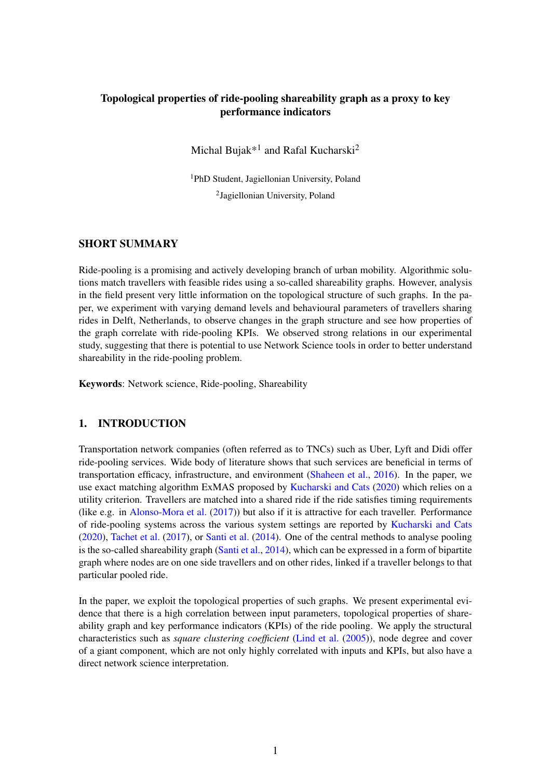# Topological properties of ride-pooling shareability graph as a proxy to key performance indicators

Michal Bujak $*^1$  and Rafal Kucharski<sup>2</sup>

<sup>1</sup>PhD Student, Jagiellonian University, Poland <sup>2</sup>Jagiellonian University, Poland

# SHORT SUMMARY

Ride-pooling is a promising and actively developing branch of urban mobility. Algorithmic solutions match travellers with feasible rides using a so-called shareability graphs. However, analysis in the field present very little information on the topological structure of such graphs. In the paper, we experiment with varying demand levels and behavioural parameters of travellers sharing rides in Delft, Netherlands, to observe changes in the graph structure and see how properties of the graph correlate with ride-pooling KPIs. We observed strong relations in our experimental study, suggesting that there is potential to use Network Science tools in order to better understand shareability in the ride-pooling problem.

Keywords: Network science, Ride-pooling, Shareability

# 1. INTRODUCTION

Transportation network companies (often referred as to TNCs) such as Uber, Lyft and Didi offer ride-pooling services. Wide body of literature shows that such services are beneficial in terms of transportation efficacy, infrastructure, and environment [\(Shaheen et al.,](#page-5-0) [2016\)](#page-5-0). In the paper, we use exact matching algorithm ExMAS proposed by [Kucharski and Cats](#page-5-1) [\(2020\)](#page-5-1) which relies on a utility criterion. Travellers are matched into a shared ride if the ride satisfies timing requirements (like e.g. in [Alonso-Mora et al.](#page-5-2) [\(2017\)](#page-5-2)) but also if it is attractive for each traveller. Performance of ride-pooling systems across the various system settings are reported by [Kucharski and Cats](#page-5-1) [\(2020\)](#page-5-1), [Tachet et al.](#page-5-3) [\(2017\)](#page-5-3), or [Santi et al.](#page-5-4) [\(2014\)](#page-5-4). One of the central methods to analyse pooling is the so-called shareability graph [\(Santi et al.,](#page-5-4) [2014\)](#page-5-4), which can be expressed in a form of bipartite graph where nodes are on one side travellers and on other rides, linked if a traveller belongs to that particular pooled ride.

In the paper, we exploit the topological properties of such graphs. We present experimental evidence that there is a high correlation between input parameters, topological properties of shareability graph and key performance indicators (KPIs) of the ride pooling. We apply the structural characteristics such as *square clustering coefficient* [\(Lind et al.](#page-5-5) [\(2005\)](#page-5-5)), node degree and cover of a giant component, which are not only highly correlated with inputs and KPIs, but also have a direct network science interpretation.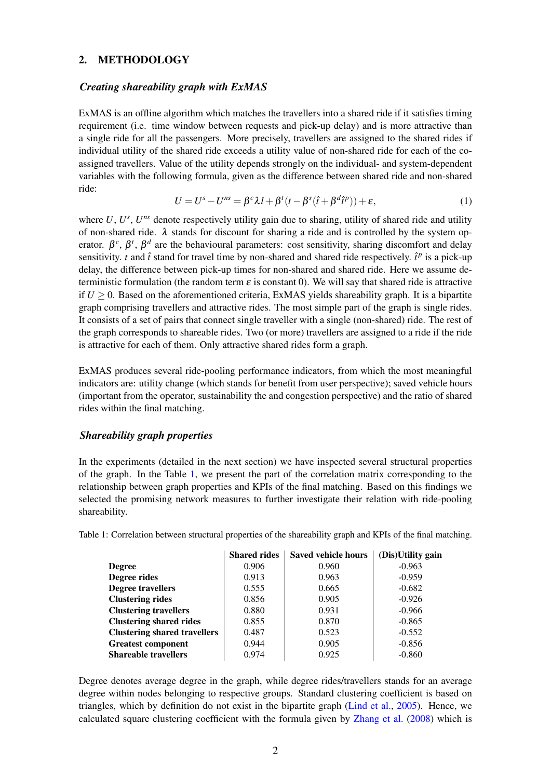#### 2. METHODOLOGY

#### *Creating shareability graph with ExMAS*

ExMAS is an offline algorithm which matches the travellers into a shared ride if it satisfies timing requirement (i.e. time window between requests and pick-up delay) and is more attractive than a single ride for all the passengers. More precisely, travellers are assigned to the shared rides if individual utility of the shared ride exceeds a utility value of non-shared ride for each of the coassigned travellers. Value of the utility depends strongly on the individual- and system-dependent variables with the following formula, given as the difference between shared ride and non-shared ride:

<span id="page-1-1"></span>
$$
U = Us - Uns = \betac \lambda l + \betat (t - \betas (\hat{t} + \betad \hat{t}^p)) + \varepsilon,
$$
\n(1)

where  $U, U^s, U^{ns}$  denote respectively utility gain due to sharing, utility of shared ride and utility of non-shared ride.  $\lambda$  stands for discount for sharing a ride and is controlled by the system operator.  $\beta^c$ ,  $\beta^t$ ,  $\beta^d$  are the behavioural parameters: cost sensitivity, sharing discomfort and delay sensitivity. *t* and  $\hat{t}$  stand for travel time by non-shared and shared ride respectively.  $\hat{t}^p$  is a pick-up delay, the difference between pick-up times for non-shared and shared ride. Here we assume deterministic formulation (the random term  $\varepsilon$  is constant 0). We will say that shared ride is attractive if  $U \geq 0$ . Based on the aforementioned criteria, ExMAS yields shareability graph. It is a bipartite graph comprising travellers and attractive rides. The most simple part of the graph is single rides. It consists of a set of pairs that connect single traveller with a single (non-shared) ride. The rest of the graph corresponds to shareable rides. Two (or more) travellers are assigned to a ride if the ride is attractive for each of them. Only attractive shared rides form a graph.

ExMAS produces several ride-pooling performance indicators, from which the most meaningful indicators are: utility change (which stands for benefit from user perspective); saved vehicle hours (important from the operator, sustainability the and congestion perspective) and the ratio of shared rides within the final matching.

#### *Shareability graph properties*

In the experiments (detailed in the next section) we have inspected several structural properties of the graph. In the Table [1,](#page-1-0) we present the part of the correlation matrix corresponding to the relationship between graph properties and KPIs of the final matching. Based on this findings we selected the promising network measures to further investigate their relation with ride-pooling shareability.

|                                     | <b>Shared rides</b> | <b>Saved vehicle hours</b> | (Dis)Utility gain |
|-------------------------------------|---------------------|----------------------------|-------------------|
| <b>Degree</b>                       | 0.906               | 0.960                      | $-0.963$          |
| Degree rides                        | 0.913               | 0.963                      | $-0.959$          |
| <b>Degree travellers</b>            | 0.555               | 0.665                      | $-0.682$          |
| <b>Clustering rides</b>             | 0.856               | 0.905                      | $-0.926$          |
| <b>Clustering travellers</b>        | 0.880               | 0.931                      | $-0.966$          |
| <b>Clustering shared rides</b>      | 0.855               | 0.870                      | $-0.865$          |
| <b>Clustering shared travellers</b> | 0.487               | 0.523                      | $-0.552$          |
| <b>Greatest component</b>           | 0.944               | 0.905                      | $-0.856$          |
| <b>Shareable travellers</b>         | 0.974               | 0.925                      | $-0.860$          |

<span id="page-1-0"></span>Table 1: Correlation between structural properties of the shareability graph and KPIs of the final matching.

Degree denotes average degree in the graph, while degree rides/travellers stands for an average degree within nodes belonging to respective groups. Standard clustering coefficient is based on triangles, which by definition do not exist in the bipartite graph [\(Lind et al.,](#page-5-5) [2005\)](#page-5-5). Hence, we calculated square clustering coefficient with the formula given by [Zhang et al.](#page-5-6) [\(2008\)](#page-5-6) which is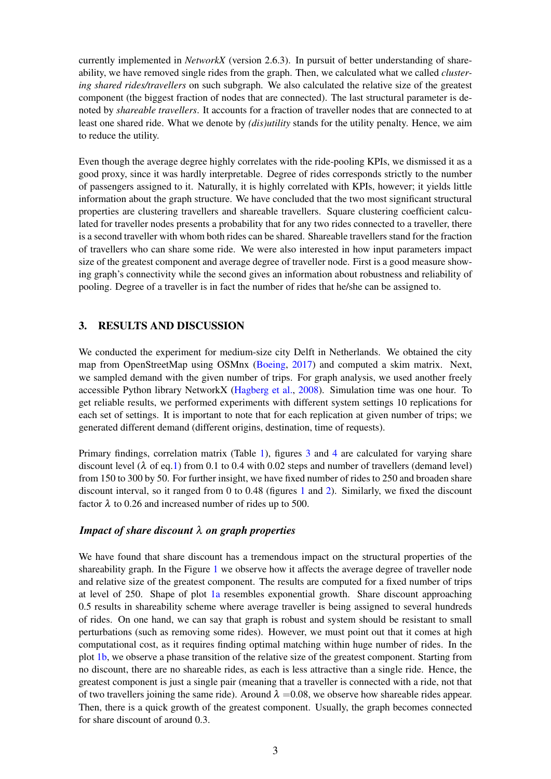currently implemented in *NetworkX* (version 2.6.3). In pursuit of better understanding of shareability, we have removed single rides from the graph. Then, we calculated what we called *clustering shared rides/travellers* on such subgraph. We also calculated the relative size of the greatest component (the biggest fraction of nodes that are connected). The last structural parameter is denoted by *shareable travellers*. It accounts for a fraction of traveller nodes that are connected to at least one shared ride. What we denote by *(dis)utility* stands for the utility penalty. Hence, we aim to reduce the utility.

Even though the average degree highly correlates with the ride-pooling KPIs, we dismissed it as a good proxy, since it was hardly interpretable. Degree of rides corresponds strictly to the number of passengers assigned to it. Naturally, it is highly correlated with KPIs, however; it yields little information about the graph structure. We have concluded that the two most significant structural properties are clustering travellers and shareable travellers. Square clustering coefficient calculated for traveller nodes presents a probability that for any two rides connected to a traveller, there is a second traveller with whom both rides can be shared. Shareable travellers stand for the fraction of travellers who can share some ride. We were also interested in how input parameters impact size of the greatest component and average degree of traveller node. First is a good measure showing graph's connectivity while the second gives an information about robustness and reliability of pooling. Degree of a traveller is in fact the number of rides that he/she can be assigned to.

# 3. RESULTS AND DISCUSSION

We conducted the experiment for medium-size city Delft in Netherlands. We obtained the city map from OpenStreetMap using OSMnx [\(Boeing,](#page-5-7) [2017\)](#page-5-7) and computed a skim matrix. Next, we sampled demand with the given number of trips. For graph analysis, we used another freely accessible Python library NetworkX [\(Hagberg et al.,](#page-5-8) [2008\)](#page-5-8). Simulation time was one hour. To get reliable results, we performed experiments with different system settings 10 replications for each set of settings. It is important to note that for each replication at given number of trips; we generated different demand (different origins, destination, time of requests).

Primary findings, correlation matrix (Table [1\)](#page-1-0), figures [3](#page-4-0) and [4](#page-4-1) are calculated for varying share discount level ( $\lambda$  of eq[.1\)](#page-1-1) from 0.1 to 0.4 with 0.02 steps and number of travellers (demand level) from 150 to 300 by 50. For further insight, we have fixed number of rides to 250 and broaden share discount interval, so it ranged from 0 to 0.48 (figures [1](#page-3-0) and [2\)](#page-3-1). Similarly, we fixed the discount factor  $\lambda$  to 0.26 and increased number of rides up to 500.

## *Impact of share discount* λ *on graph properties*

We have found that share discount has a tremendous impact on the structural properties of the shareability graph. In the Figure [1](#page-3-0) we observe how it affects the average degree of traveller node and relative size of the greatest component. The results are computed for a fixed number of trips at level of 250. Shape of plot [1a](#page-3-0) resembles exponential growth. Share discount approaching 0.5 results in shareability scheme where average traveller is being assigned to several hundreds of rides. On one hand, we can say that graph is robust and system should be resistant to small perturbations (such as removing some rides). However, we must point out that it comes at high computational cost, as it requires finding optimal matching within huge number of rides. In the plot [1b,](#page-3-0) we observe a phase transition of the relative size of the greatest component. Starting from no discount, there are no shareable rides, as each is less attractive than a single ride. Hence, the greatest component is just a single pair (meaning that a traveller is connected with a ride, not that of two travellers joining the same ride). Around  $\lambda = 0.08$ , we observe how shareable rides appear. Then, there is a quick growth of the greatest component. Usually, the graph becomes connected for share discount of around 0.3.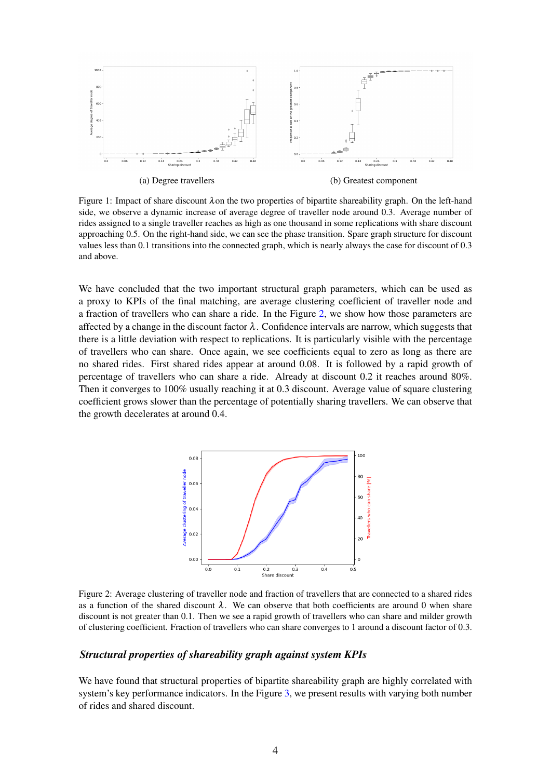<span id="page-3-0"></span>

(a) Degree travellers (b) Greatest component

Figure 1: Impact of share discount λon the two properties of bipartite shareability graph. On the left-hand side, we observe a dynamic increase of average degree of traveller node around 0.3. Average number of rides assigned to a single traveller reaches as high as one thousand in some replications with share discount approaching 0.5. On the right-hand side, we can see the phase transition. Spare graph structure for discount values less than 0.1 transitions into the connected graph, which is nearly always the case for discount of 0.3 and above.

We have concluded that the two important structural graph parameters, which can be used as a proxy to KPIs of the final matching, are average clustering coefficient of traveller node and a fraction of travellers who can share a ride. In the Figure [2,](#page-3-1) we show how those parameters are affected by a change in the discount factor  $\lambda$ . Confidence intervals are narrow, which suggests that there is a little deviation with respect to replications. It is particularly visible with the percentage of travellers who can share. Once again, we see coefficients equal to zero as long as there are no shared rides. First shared rides appear at around 0.08. It is followed by a rapid growth of percentage of travellers who can share a ride. Already at discount 0.2 it reaches around 80%. Then it converges to 100% usually reaching it at 0.3 discount. Average value of square clustering coefficient grows slower than the percentage of potentially sharing travellers. We can observe that the growth decelerates at around 0.4.

<span id="page-3-1"></span>

Figure 2: Average clustering of traveller node and fraction of travellers that are connected to a shared rides as a function of the shared discount  $\lambda$ . We can observe that both coefficients are around 0 when share discount is not greater than 0.1. Then we see a rapid growth of travellers who can share and milder growth of clustering coefficient. Fraction of travellers who can share converges to 1 around a discount factor of 0.3.

#### *Structural properties of shareability graph against system KPIs*

We have found that structural properties of bipartite shareability graph are highly correlated with system's key performance indicators. In the Figure [3,](#page-4-0) we present results with varying both number of rides and shared discount.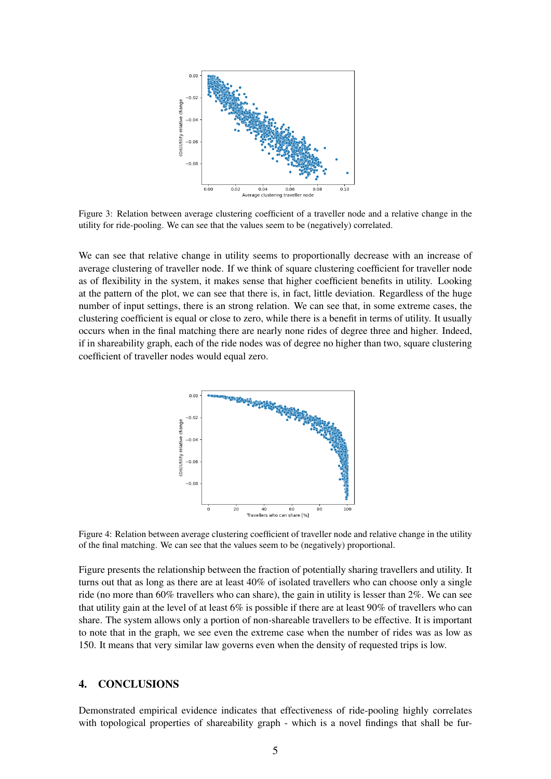<span id="page-4-0"></span>

Figure 3: Relation between average clustering coefficient of a traveller node and a relative change in the utility for ride-pooling. We can see that the values seem to be (negatively) correlated.

We can see that relative change in utility seems to proportionally decrease with an increase of average clustering of traveller node. If we think of square clustering coefficient for traveller node as of flexibility in the system, it makes sense that higher coefficient benefits in utility. Looking at the pattern of the plot, we can see that there is, in fact, little deviation. Regardless of the huge number of input settings, there is an strong relation. We can see that, in some extreme cases, the clustering coefficient is equal or close to zero, while there is a benefit in terms of utility. It usually occurs when in the final matching there are nearly none rides of degree three and higher. Indeed, if in shareability graph, each of the ride nodes was of degree no higher than two, square clustering coefficient of traveller nodes would equal zero.

<span id="page-4-1"></span>

Figure 4: Relation between average clustering coefficient of traveller node and relative change in the utility of the final matching. We can see that the values seem to be (negatively) proportional.

Figure presents the relationship between the fraction of potentially sharing travellers and utility. It turns out that as long as there are at least 40% of isolated travellers who can choose only a single ride (no more than 60% travellers who can share), the gain in utility is lesser than 2%. We can see that utility gain at the level of at least 6% is possible if there are at least 90% of travellers who can share. The system allows only a portion of non-shareable travellers to be effective. It is important to note that in the graph, we see even the extreme case when the number of rides was as low as 150. It means that very similar law governs even when the density of requested trips is low.

## 4. CONCLUSIONS

Demonstrated empirical evidence indicates that effectiveness of ride-pooling highly correlates with topological properties of shareability graph - which is a novel findings that shall be fur